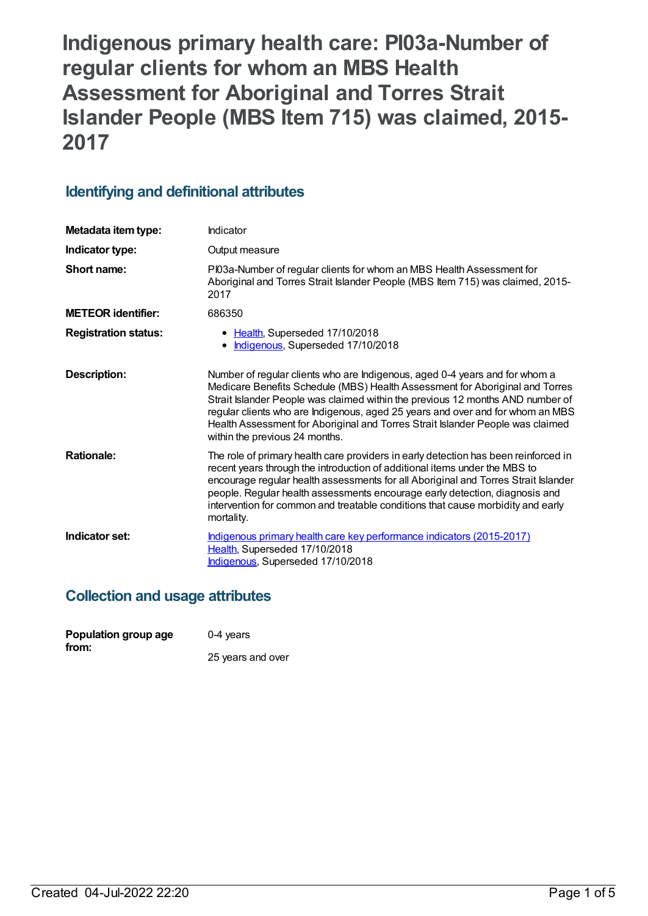**Indigenous primary health care: PI03a-Number of regular clients for whom an MBS Health Assessment for Aboriginal and Torres Strait Islander People (MBS Item 715) was claimed, 2015- 2017**

# **Identifying and definitional attributes**

| Metadata item type:         | Indicator                                                                                                                                                                                                                                                                                                                                                                                                                                           |
|-----------------------------|-----------------------------------------------------------------------------------------------------------------------------------------------------------------------------------------------------------------------------------------------------------------------------------------------------------------------------------------------------------------------------------------------------------------------------------------------------|
| Indicator type:             | Output measure                                                                                                                                                                                                                                                                                                                                                                                                                                      |
| Short name:                 | PI03a-Number of regular clients for whom an MBS Health Assessment for<br>Aboriginal and Torres Strait Islander People (MBS Item 715) was claimed, 2015-<br>2017                                                                                                                                                                                                                                                                                     |
| <b>METEOR</b> identifier:   | 686350                                                                                                                                                                                                                                                                                                                                                                                                                                              |
| <b>Registration status:</b> | • Health, Superseded 17/10/2018<br>Indigenous, Superseded 17/10/2018<br>$\bullet$                                                                                                                                                                                                                                                                                                                                                                   |
| Description:                | Number of regular clients who are Indigenous, aged 0-4 years and for whom a<br>Medicare Benefits Schedule (MBS) Health Assessment for Aboriginal and Torres<br>Strait Islander People was claimed within the previous 12 months AND number of<br>regular clients who are Indigenous, aged 25 years and over and for whom an MBS<br>Health Assessment for Aboriginal and Torres Strait Islander People was claimed<br>within the previous 24 months. |
| <b>Rationale:</b>           | The role of primary health care providers in early detection has been reinforced in<br>recent years through the introduction of additional items under the MBS to<br>encourage regular health assessments for all Aboriginal and Torres Strait Islander<br>people. Regular health assessments encourage early detection, diagnosis and<br>intervention for common and treatable conditions that cause morbidity and early<br>mortality.             |
| Indicator set:              | Indigenous primary health care key performance indicators (2015-2017)<br>Health, Superseded 17/10/2018<br>Indigenous, Superseded 17/10/2018                                                                                                                                                                                                                                                                                                         |

## **Collection and usage attributes**

| Population group age | 0-4 years         |  |
|----------------------|-------------------|--|
| from:                | 25 years and over |  |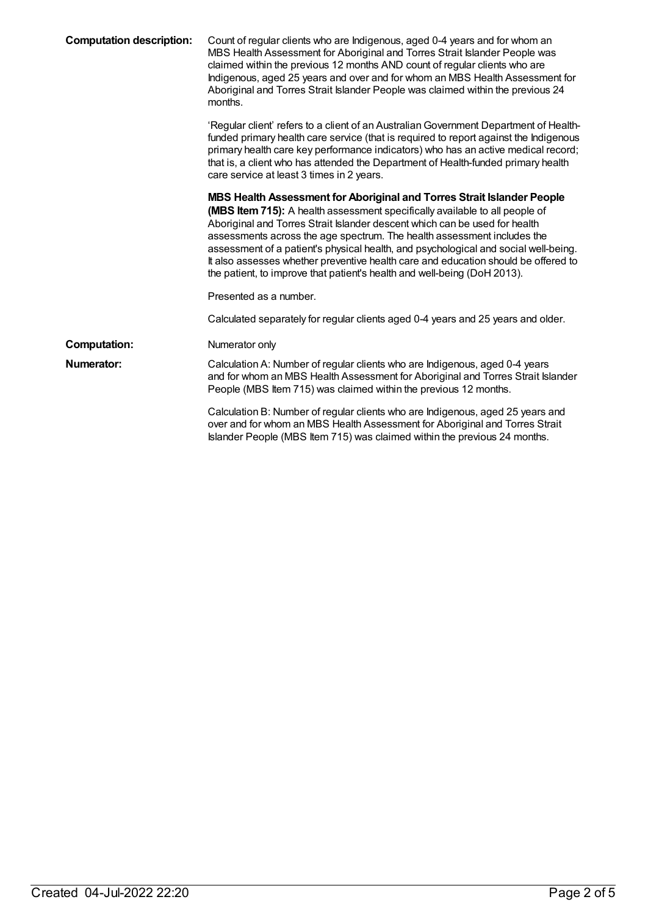| <b>Computation description:</b> | Count of regular clients who are Indigenous, aged 0-4 years and for whom an<br>MBS Health Assessment for Aboriginal and Torres Strait Islander People was<br>claimed within the previous 12 months AND count of regular clients who are<br>Indigenous, aged 25 years and over and for whom an MBS Health Assessment for<br>Aboriginal and Torres Strait Islander People was claimed within the previous 24<br>months.                                                                                                                                                   |
|---------------------------------|-------------------------------------------------------------------------------------------------------------------------------------------------------------------------------------------------------------------------------------------------------------------------------------------------------------------------------------------------------------------------------------------------------------------------------------------------------------------------------------------------------------------------------------------------------------------------|
|                                 | 'Regular client' refers to a client of an Australian Government Department of Health-<br>funded primary health care service (that is required to report against the Indigenous<br>primary health care key performance indicators) who has an active medical record;<br>that is, a client who has attended the Department of Health-funded primary health<br>care service at least 3 times in 2 years.                                                                                                                                                                   |
|                                 | MBS Health Assessment for Aboriginal and Torres Strait Islander People<br>(MBS Item 715): A health assessment specifically available to all people of<br>Aboriginal and Torres Strait Islander descent which can be used for health<br>assessments across the age spectrum. The health assessment includes the<br>assessment of a patient's physical health, and psychological and social well-being.<br>It also assesses whether preventive health care and education should be offered to<br>the patient, to improve that patient's health and well-being (DoH 2013). |
|                                 | Presented as a number.                                                                                                                                                                                                                                                                                                                                                                                                                                                                                                                                                  |
|                                 | Calculated separately for regular clients aged 0-4 years and 25 years and older.                                                                                                                                                                                                                                                                                                                                                                                                                                                                                        |
| <b>Computation:</b>             | Numerator only                                                                                                                                                                                                                                                                                                                                                                                                                                                                                                                                                          |
| Numerator:                      | Calculation A: Number of regular clients who are Indigenous, aged 0-4 years<br>and for whom an MBS Health Assessment for Aboriginal and Torres Strait Islander<br>People (MBS Item 715) was claimed within the previous 12 months.                                                                                                                                                                                                                                                                                                                                      |
|                                 | Calculation B: Number of regular clients who are Indigenous, aged 25 years and<br>over and for whom an MBS Health Assessment for Aboriginal and Torres Strait<br>Islander People (MBS Item 715) was claimed within the previous 24 months.                                                                                                                                                                                                                                                                                                                              |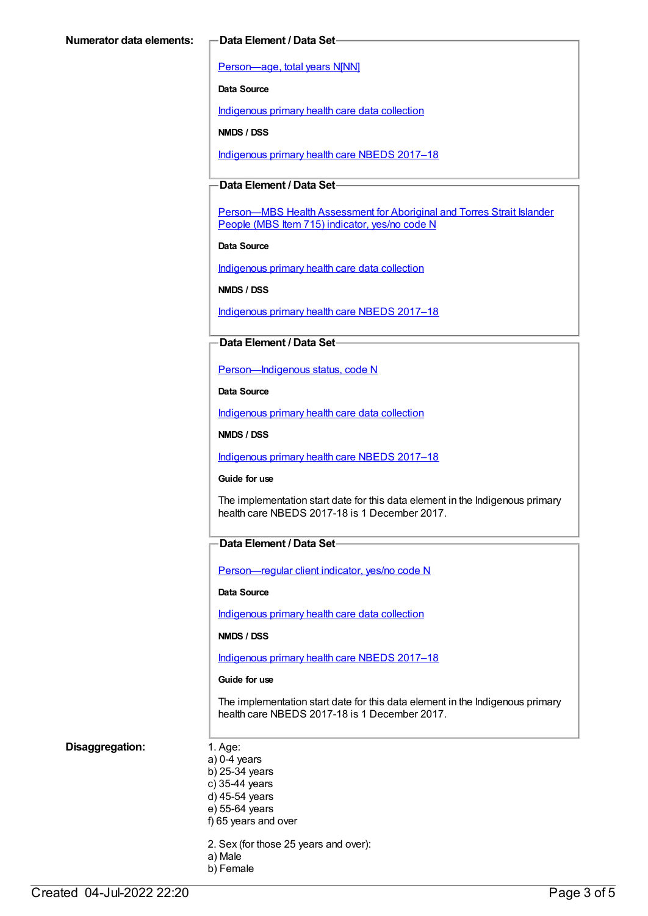[Person—age,](https://meteor.aihw.gov.au/content/303794) total years N[NN]

**Data Source**

[Indigenous](https://meteor.aihw.gov.au/content/430643) primary health care data collection

**NMDS / DSS**

[Indigenous](https://meteor.aihw.gov.au/content/686603) primary health care NBEDS 2017–18

#### **Data Element / Data Set**

[Person—MBS](https://meteor.aihw.gov.au/content/504933) Health Assessment for Aboriginal and Torres Strait Islander People (MBS Item 715) indicator, yes/no code N

**Data Source**

[Indigenous](https://meteor.aihw.gov.au/content/430643) primary health care data collection

**NMDS / DSS**

[Indigenous](https://meteor.aihw.gov.au/content/686603) primary health care NBEDS 2017–18

#### **Data Element / Data Set**

[Person—Indigenous](https://meteor.aihw.gov.au/content/602543) status, code N

**Data Source**

[Indigenous](https://meteor.aihw.gov.au/content/430643) primary health care data collection

**NMDS / DSS**

[Indigenous](https://meteor.aihw.gov.au/content/686603) primary health care NBEDS 2017–18

#### **Guide for use**

The implementation start date for this data element in the Indigenous primary health care NBEDS 2017-18 is 1 December 2017.

#### **Data Element / Data Set**

[Person—regular](https://meteor.aihw.gov.au/content/686291) client indicator, yes/no code N

**Data Source**

[Indigenous](https://meteor.aihw.gov.au/content/430643) primary health care data collection

**NMDS / DSS**

[Indigenous](https://meteor.aihw.gov.au/content/686603) primary health care NBEDS 2017–18

#### **Guide for use**

The implementation start date for this data element in the Indigenous primary health care NBEDS 2017-18 is 1 December 2017.

#### **Disaggregation:** 1. Age:

- a) 0-4 years b) 25-34 years c) 35-44 years d) 45-54 years e) 55-64 years f) 65 years and over
- 2. Sex (for those 25 years and over):
- a) Male b) Female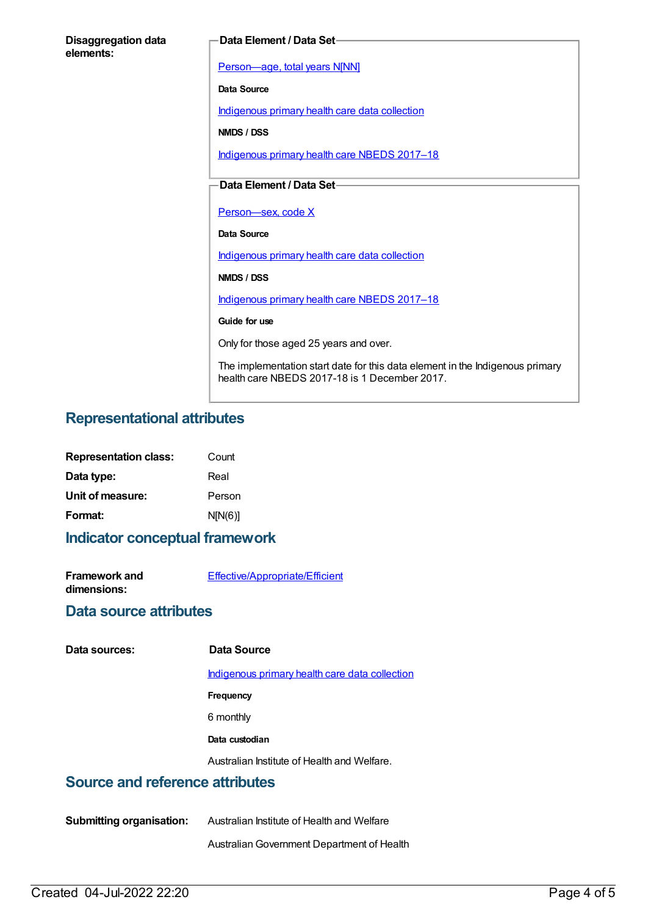| <b>Disaggregation data</b> |  |
|----------------------------|--|
| elements:                  |  |

#### **Data Element / Data Set**

[Person—age,](https://meteor.aihw.gov.au/content/303794) total years N[NN]

**Data Source**

[Indigenous](https://meteor.aihw.gov.au/content/430643) primary health care data collection

**NMDS / DSS**

[Indigenous](https://meteor.aihw.gov.au/content/686603) primary health care NBEDS 2017–18

### **Data Element / Data Set**

Person-sex, code X

**Data Source**

[Indigenous](https://meteor.aihw.gov.au/content/430643) primary health care data collection

**NMDS / DSS**

[Indigenous](https://meteor.aihw.gov.au/content/686603) primary health care NBEDS 2017–18

**Guide for use**

Only for those aged 25 years and over.

The implementation start date for this data element in the Indigenous primary health care NBEDS 2017-18 is 1 December 2017.

## **Representational attributes**

| <b>Representation class:</b> | Count   |
|------------------------------|---------|
| Data type:                   | Real    |
| Unit of measure:             | Person  |
| Format:                      | N[N(6)] |

#### **Indicator conceptual framework**

| <b>Framework and</b> | Effective/Appropriate/Efficient |
|----------------------|---------------------------------|
| dimensions:          |                                 |

## **Data source attributes**

|  | Data sources: |
|--|---------------|
|--|---------------|

**Data sources: Data Source**

[Indigenous](https://meteor.aihw.gov.au/content/430643) primary health care data collection

**Frequency**

6 monthly

**Data custodian**

Australian Institute of Health and Welfare.

## **Source and reference attributes**

**Submitting organisation:** Australian Institute of Health and Welfare

AustralianGovernment Department of Health